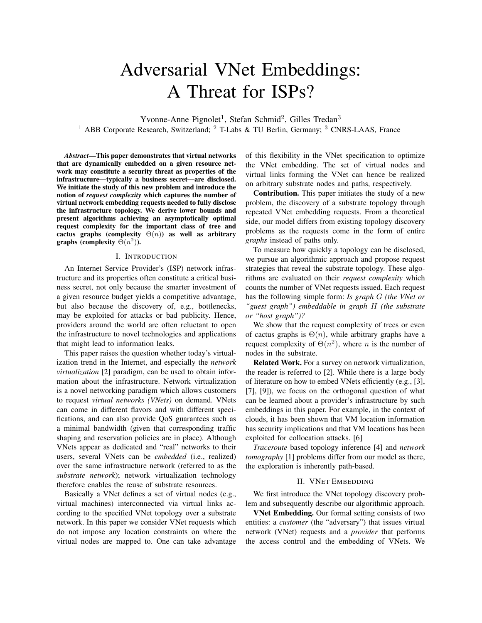# Adversarial VNet Embeddings: A Threat for ISPs?

Yvonne-Anne Pignolet<sup>1</sup>, Stefan Schmid<sup>2</sup>, Gilles Tredan<sup>3</sup> <sup>1</sup> ABB Corporate Research, Switzerland;  $^{2}$  T-Labs & TU Berlin, Germany;  $^{3}$  CNRS-LAAS, France

*Abstract*—This paper demonstrates that virtual networks that are dynamically embedded on a given resource network may constitute a security threat as properties of the infrastructure—typically a business secret—are disclosed. We initiate the study of this new problem and introduce the notion of *request complexity* which captures the number of virtual network embedding requests needed to fully disclose the infrastructure topology. We derive lower bounds and present algorithms achieving an asymptotically optimal request complexity for the important class of tree and cactus graphs (complexity  $\Theta(n)$ ) as well as arbitrary graphs (complexity  $\Theta(n^2)$ ).

#### I. INTRODUCTION

An Internet Service Provider's (ISP) network infrastructure and its properties often constitute a critical business secret, not only because the smarter investment of a given resource budget yields a competitive advantage, but also because the discovery of, e.g., bottlenecks, may be exploited for attacks or bad publicity. Hence, providers around the world are often reluctant to open the infrastructure to novel technologies and applications that might lead to information leaks.

This paper raises the question whether today's virtualization trend in the Internet, and especially the *network virtualization* [2] paradigm, can be used to obtain information about the infrastructure. Network virtualization is a novel networking paradigm which allows customers to request *virtual networks (VNets)* on demand. VNets can come in different flavors and with different specifications, and can also provide QoS guarantees such as a minimal bandwidth (given that corresponding traffic shaping and reservation policies are in place). Although VNets appear as dedicated and "real" networks to their users, several VNets can be *embedded* (i.e., realized) over the same infrastructure network (referred to as the *substrate network*); network virtualization technology therefore enables the reuse of substrate resources.

Basically a VNet defines a set of virtual nodes (e.g., virtual machines) interconnected via virtual links according to the specified VNet topology over a substrate network. In this paper we consider VNet requests which do not impose any location constraints on where the virtual nodes are mapped to. One can take advantage of this flexibility in the VNet specification to optimize the VNet embedding. The set of virtual nodes and virtual links forming the VNet can hence be realized on arbitrary substrate nodes and paths, respectively.

Contribution. This paper initiates the study of a new problem, the discovery of a substrate topology through repeated VNet embedding requests. From a theoretical side, our model differs from existing topology discovery problems as the requests come in the form of entire *graphs* instead of paths only.

To measure how quickly a topology can be disclosed, we pursue an algorithmic approach and propose request strategies that reveal the substrate topology. These algorithms are evaluated on their *request complexity* which counts the number of VNet requests issued. Each request has the following simple form: *Is graph* G *(the VNet or "guest graph") embeddable in graph* H *(the substrate or "host graph")?*

We show that the request complexity of trees or even of cactus graphs is  $\Theta(n)$ , while arbitrary graphs have a request complexity of  $\Theta(n^2)$ , where *n* is the number of nodes in the substrate.

Related Work. For a survey on network virtualization, the reader is referred to [2]. While there is a large body of literature on how to embed VNets efficiently (e.g., [3], [7], [9]), we focus on the orthogonal question of what can be learned about a provider's infrastructure by such embeddings in this paper. For example, in the context of clouds, it has been shown that VM location information has security implications and that VM locations has been exploited for collocation attacks. [6]

*Traceroute* based topology inference [4] and *network tomography* [1] problems differ from our model as there, the exploration is inherently path-based.

#### II. VNET EMBEDDING

We first introduce the VNet topology discovery problem and subsequently describe our algorithmic approach.

VNet Embedding. Our formal setting consists of two entities: a *customer* (the "adversary") that issues virtual network (VNet) requests and a *provider* that performs the access control and the embedding of VNets. We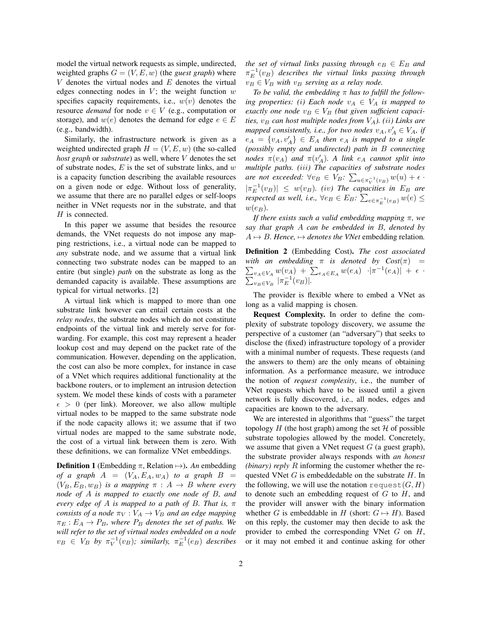model the virtual network requests as simple, undirected, weighted graphs  $G = (V, E, w)$  (the *guest graph*) where  $V$  denotes the virtual nodes and  $E$  denotes the virtual edges connecting nodes in  $V$ ; the weight function  $w$ specifies capacity requirements, i.e.,  $w(v)$  denotes the resource *demand* for node  $v \in V$  (e.g., computation or storage), and  $w(e)$  denotes the demand for edge  $e \in E$ (e.g., bandwidth).

Similarly, the infrastructure network is given as a weighted undirected graph  $H = (V, E, w)$  (the so-called *host graph* or *substrate*) as well, where V denotes the set of substrate nodes,  $E$  is the set of substrate links, and  $w$ is a capacity function describing the available resources on a given node or edge. Without loss of generality, we assume that there are no parallel edges or self-loops neither in VNet requests nor in the substrate, and that H is connected.

In this paper we assume that besides the resource demands, the VNet requests do not impose any mapping restrictions, i.e., a virtual node can be mapped to *any* substrate node, and we assume that a virtual link connecting two substrate nodes can be mapped to an entire (but single) *path* on the substrate as long as the demanded capacity is available. These assumptions are typical for virtual networks. [2]

A virtual link which is mapped to more than one substrate link however can entail certain costs at the *relay nodes*, the substrate nodes which do not constitute endpoints of the virtual link and merely serve for forwarding. For example, this cost may represent a header lookup cost and may depend on the packet rate of the communication. However, depending on the application, the cost can also be more complex, for instance in case of a VNet which requires additional functionality at the backbone routers, or to implement an intrusion detection system. We model these kinds of costs with a parameter  $\epsilon > 0$  (per link). Moreover, we also allow multiple virtual nodes to be mapped to the same substrate node if the node capacity allows it; we assume that if two virtual nodes are mapped to the same substrate node, the cost of a virtual link between them is zero. With these definitions, we can formalize VNet embeddings.

**Definition 1** (Embedding  $\pi$ , Relation  $\mapsto$ ). *An* embedding *of a graph*  $A = (V_A, E_A, w_A)$  *to a graph*  $B =$  $(V_B, E_B, w_B)$  *is a mapping*  $\pi : A \rightarrow B$  *where every node of* A *is mapped to exactly one node of* B*, and every edge of* A *is mapped to a path of* B*. That is,* π *consists of a node*  $\pi_V : V_A \to V_B$  *and an edge mapping*  $\pi_E : E_A \to P_B$ , where  $P_B$  denotes the set of paths. We *will refer to the set of virtual nodes embedded on a node*  $v_B \in V_B$  by  $\pi_V^{-1}(v_B)$ ; similarly,  $\pi_E^{-1}(e_B)$  describes *the set of virtual links passing through*  $e_B \in E_B$  *and*  $\pi_E^{-1}(v_B)$  describes the virtual links passing through  $v_B \in V_B$  *with*  $v_B$  *serving as a relay node.* 

*To be valid, the embedding* π *has to fulfill the following properties: (i)* Each node  $v_A \in V_A$  *is mapped to exactly one node*  $v_B \in V_B$  *(but given sufficient capacities,*  $v_B$  *can host multiple nodes from*  $V_A$ *). (ii) Links are mapped consistently, i.e., for two nodes*  $v_A, v_A \in V_A$ , if  $e_A = \{v_A, v'_A\} \in E_A$  then  $e_A$  is mapped to a single *(possibly empty and undirected) path in* B *connecting nodes*  $\pi(v_A)$  *and*  $\pi(v'_A)$ *.* A link  $e_A$  *cannot split into multiple paths. (*iii*) The capacities of substrate nodes are not exceeded:*  $\forall v_B \in V_B$ :  $\sum_{u \in \pi_V^{-1}(v_B)} w(u) + \epsilon$ .  $|\pi_E^{-1}(v_B)| \leq w(v_B)$ . (*iv*) The capacities in  $E_B$  are *respected as well, i.e.,*  $\forall e_B \in E_B$ :  $\sum_{e \in \pi_E^{-1}(e_B)} w(e) \le$  $w(e_B)$ .

*If there exists such a valid embedding mapping* π*, we say that graph* A *can be embedded in* B*, denoted by*  $A \mapsto B$ *. Hence,*  $\mapsto$  *denotes the VNet* embedding relation.

Definition 2 (Embedding Cost). *The cost associated with an embedding*  $\pi$  *is denoted by*  $Cost(\pi)$  *=* with an embedding  $\pi$  is denoted by  $Cost(\pi)$  =<br> $\sum_{v_A \in V_A} w(v_A) + \sum_{e_A \in E_A} w(e_A) \cdot |\pi^{-1}(e_A)| + \epsilon$ .  $\sum_{v_B \in V_B} \frac{\pi_E^{-1}(v_B)}{\pi_E^{-1}(v_B)}$ 

The provider is flexible where to embed a VNet as long as a valid mapping is chosen.

Request Complexity. In order to define the complexity of substrate topology discovery, we assume the perspective of a customer (an "adversary") that seeks to disclose the (fixed) infrastructure topology of a provider with a minimal number of requests. These requests (and the answers to them) are the only means of obtaining information. As a performance measure, we introduce the notion of *request complexity*, i.e., the number of VNet requests which have to be issued until a given network is fully discovered, i.e., all nodes, edges and capacities are known to the adversary.

We are interested in algorithms that "guess" the target topology  $H$  (the host graph) among the set  $H$  of possible substrate topologies allowed by the model. Concretely, we assume that given a VNet request  $G$  (a guest graph), the substrate provider always responds with *an honest (binary) reply* R informing the customer whether the requested VNet  $G$  is embeddedable on the substrate  $H$ . In the following, we will use the notation request  $(G, H)$ to denote such an embedding request of  $G$  to  $H$ , and the provider will answer with the binary information whether G is embeddable in H (short:  $G \mapsto H$ ). Based on this reply, the customer may then decide to ask the provider to embed the corresponding VNet  $G$  on  $H$ , or it may not embed it and continue asking for other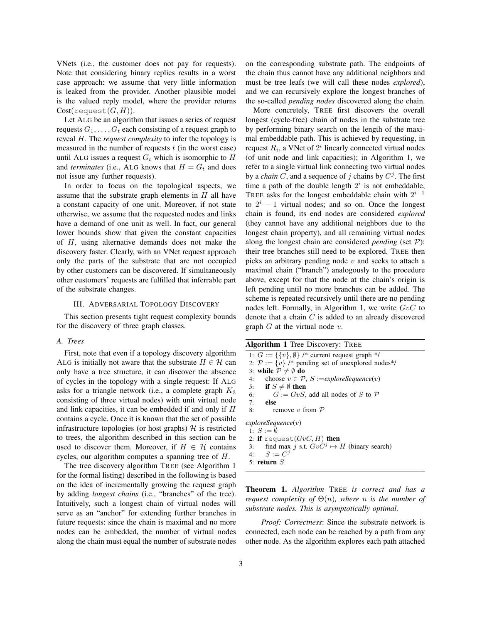VNets (i.e., the customer does not pay for requests). Note that considering binary replies results in a worst case approach: we assume that very little information is leaked from the provider. Another plausible model is the valued reply model, where the provider returns  $Cost(request(G,H)).$ 

Let ALG be an algorithm that issues a series of request requests  $G_1, \ldots, G_t$  each consisting of a request graph to reveal H. The *request complexity* to infer the topology is measured in the number of requests  $t$  (in the worst case) until ALG issues a request  $G_t$  which is isomorphic to H and *terminates* (i.e., ALG knows that  $H = G_t$  and does not issue any further requests).

In order to focus on the topological aspects, we assume that the substrate graph elements in  $H$  all have a constant capacity of one unit. Moreover, if not state otherwise, we assume that the requested nodes and links have a demand of one unit as well. In fact, our general lower bounds show that given the constant capacities of H, using alternative demands does not make the discovery faster. Clearly, with an VNet request approach only the parts of the substrate that are not occupied by other customers can be discovered. If simultaneously other customers' requests are fulfilled that inferrable part of the substrate changes.

### III. ADVERSARIAL TOPOLOGY DISCOVERY

This section presents tight request complexity bounds for the discovery of three graph classes.

# *A. Trees*

First, note that even if a topology discovery algorithm ALG is initially not aware that the substrate  $H \in \mathcal{H}$  can only have a tree structure, it can discover the absence of cycles in the topology with a single request: If ALG asks for a triangle network (i.e., a complete graph  $K_3$ consisting of three virtual nodes) with unit virtual node and link capacities, it can be embedded if and only if H contains a cycle. Once it is known that the set of possible infrastructure topologies (or host graphs)  $H$  is restricted to trees, the algorithm described in this section can be used to discover them. Moreover, if  $H \in \mathcal{H}$  contains cycles, our algorithm computes a spanning tree of H.

The tree discovery algorithm TREE (see Algorithm 1 for the formal listing) described in the following is based on the idea of incrementally growing the request graph by adding *longest chains* (i.e., "branches" of the tree). Intuitively, such a longest chain of virtual nodes will serve as an "anchor" for extending further branches in future requests: since the chain is maximal and no more nodes can be embedded, the number of virtual nodes along the chain must equal the number of substrate nodes

on the corresponding substrate path. The endpoints of the chain thus cannot have any additional neighbors and must be tree leafs (we will call these nodes *explored*), and we can recursively explore the longest branches of the so-called *pending nodes* discovered along the chain.

More concretely, TREE first discovers the overall longest (cycle-free) chain of nodes in the substrate tree by performing binary search on the length of the maximal embeddable path. This is achieved by requesting, in request  $R_i$ , a VNet of  $2^i$  linearly connected virtual nodes (of unit node and link capacities); in Algorithm 1, we refer to a single virtual link connecting two virtual nodes by a *chain*  $C$ , and a sequence of  $j$  chains by  $C^j$ . The first time a path of the double length  $2<sup>i</sup>$  is not embeddable, TREE asks for the longest embeddable chain with  $2^{i-1}$ to  $2^{i} - 1$  virtual nodes; and so on. Once the longest chain is found, its end nodes are considered *explored* (they cannot have any additional neighbors due to the longest chain property), and all remaining virtual nodes along the longest chain are considered *pending* (set P): their tree branches still need to be explored. TREE then picks an arbitrary pending node  $v$  and seeks to attach a maximal chain ("branch") analogously to the procedure above, except for that the node at the chain's origin is left pending until no more branches can be added. The scheme is repeated recursively until there are no pending nodes left. Formally, in Algorithm 1, we write  $GvC$  to denote that a chain C is added to an already discovered graph  $G$  at the virtual node  $v$ .

Algorithm 1 Tree Discovery: TREE 1:  $G := \{ \{v\}, \emptyset \}$  /\* current request graph \*/ 2:  $\mathcal{P} := \{v\}$  /\* pending set of unexplored nodes\*/ 3: while  $P \neq \emptyset$  do 4: choose  $v \in \mathcal{P}$ ,  $S := \text{exploreSequence}(v)$ 5: if  $S \neq \emptyset$  then 6:  $G := GvS$ , add all nodes of S to P 7: else 8: remove v from  $P$ *exploreSequence*(v) 1:  $S := \emptyset$ 2: if request( $GvC$ , H) then 3: find max j s.t.  $GvC^j \mapsto H$  (binary search) 4:  $S := C^j$ 5: return S

Theorem 1. *Algorithm* TREE *is correct and has a request complexity of*  $\Theta(n)$ *, where n is the number of substrate nodes. This is asymptotically optimal.*

*Proof: Correctness*: Since the substrate network is connected, each node can be reached by a path from any other node. As the algorithm explores each path attached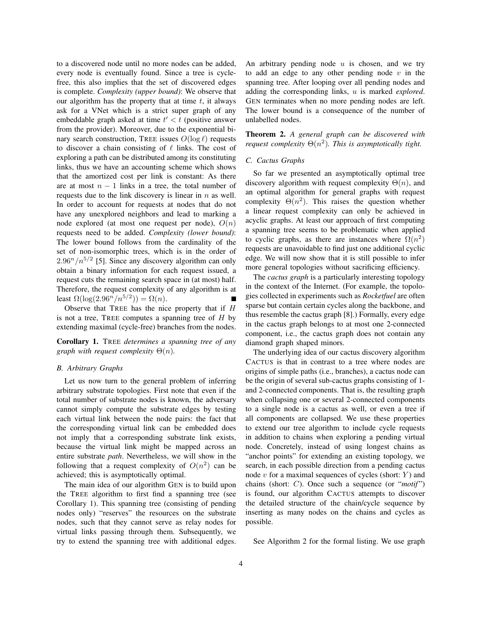to a discovered node until no more nodes can be added, every node is eventually found. Since a tree is cyclefree, this also implies that the set of discovered edges is complete. *Complexity (upper bound)*: We observe that our algorithm has the property that at time  $t$ , it always ask for a VNet which is a strict super graph of any embeddable graph asked at time  $t' < t$  (positive answer from the provider). Moreover, due to the exponential binary search construction, TREE issues  $O(\log \ell)$  requests to discover a chain consisting of  $\ell$  links. The cost of exploring a path can be distributed among its constituting links, thus we have an accounting scheme which shows that the amortized cost per link is constant: As there are at most  $n - 1$  links in a tree, the total number of requests due to the link discovery is linear in  $n$  as well. In order to account for requests at nodes that do not have any unexplored neighbors and lead to marking a node explored (at most one request per node),  $O(n)$ requests need to be added. *Complexity (lower bound)*: The lower bound follows from the cardinality of the set of non-isomorphic trees, which is in the order of  $2.96^n/n^{5/2}$  [5]. Since any discovery algorithm can only obtain a binary information for each request issued, a request cuts the remaining search space in (at most) half. Therefore, the request complexity of any algorithm is at least  $\Omega(\log(2.96^n/n^{5/2})) = \Omega(n)$ .

Observe that TREE has the nice property that if H is not a tree, TREE computes a spanning tree of  $H$  by extending maximal (cycle-free) branches from the nodes.

Corollary 1. TREE *determines a spanning tree of any graph with request complexity* Θ(n)*.*

# *B. Arbitrary Graphs*

Let us now turn to the general problem of inferring arbitrary substrate topologies. First note that even if the total number of substrate nodes is known, the adversary cannot simply compute the substrate edges by testing each virtual link between the node pairs: the fact that the corresponding virtual link can be embedded does not imply that a corresponding substrate link exists, because the virtual link might be mapped across an entire substrate *path*. Nevertheless, we will show in the following that a request complexity of  $O(n^2)$  can be achieved; this is asymptotically optimal.

The main idea of our algorithm GEN is to build upon the TREE algorithm to first find a spanning tree (see Corollary 1). This spanning tree (consisting of pending nodes only) "reserves" the resources on the substrate nodes, such that they cannot serve as relay nodes for virtual links passing through them. Subsequently, we try to extend the spanning tree with additional edges. An arbitrary pending node  $u$  is chosen, and we try to add an edge to any other pending node  $v$  in the spanning tree. After looping over all pending nodes and adding the corresponding links, u is marked *explored*. GEN terminates when no more pending nodes are left. The lower bound is a consequence of the number of unlabelled nodes.

Theorem 2. *A general graph can be discovered with request complexity*  $\Theta(n^2)$ *. This is asymptotically tight.* 

# *C. Cactus Graphs*

So far we presented an asymptotically optimal tree discovery algorithm with request complexity  $\Theta(n)$ , and an optimal algorithm for general graphs with request complexity  $\Theta(n^2)$ . This raises the question whether a linear request complexity can only be achieved in acyclic graphs. At least our approach of first computing a spanning tree seems to be problematic when applied to cyclic graphs, as there are instances where  $\Omega(n^2)$ requests are unavoidable to find just one additional cyclic edge. We will now show that it is still possible to infer more general topologies without sacrificing efficiency.

The *cactus graph* is a particularly interesting topology in the context of the Internet. (For example, the topologies collected in experiments such as *Rocketfuel* are often sparse but contain certain cycles along the backbone, and thus resemble the cactus graph [8].) Formally, every edge in the cactus graph belongs to at most one 2-connected component, i.e., the cactus graph does not contain any diamond graph shaped minors.

The underlying idea of our cactus discovery algorithm CACTUS is that in contrast to a tree where nodes are origins of simple paths (i.e., branches), a cactus node can be the origin of several sub-cactus graphs consisting of 1 and 2-connected components. That is, the resulting graph when collapsing one or several 2-connected components to a single node is a cactus as well, or even a tree if all components are collapsed. We use these properties to extend our tree algorithm to include cycle requests in addition to chains when exploring a pending virtual node. Concretely, instead of using longest chains as "anchor points" for extending an existing topology, we search, in each possible direction from a pending cactus node  $v$  for a maximal sequences of cycles (short:  $Y$ ) and chains (short: C). Once such a sequence (or "*motif* ") is found, our algorithm CACTUS attempts to discover the detailed structure of the chain/cycle sequence by inserting as many nodes on the chains and cycles as possible.

See Algorithm 2 for the formal listing. We use graph